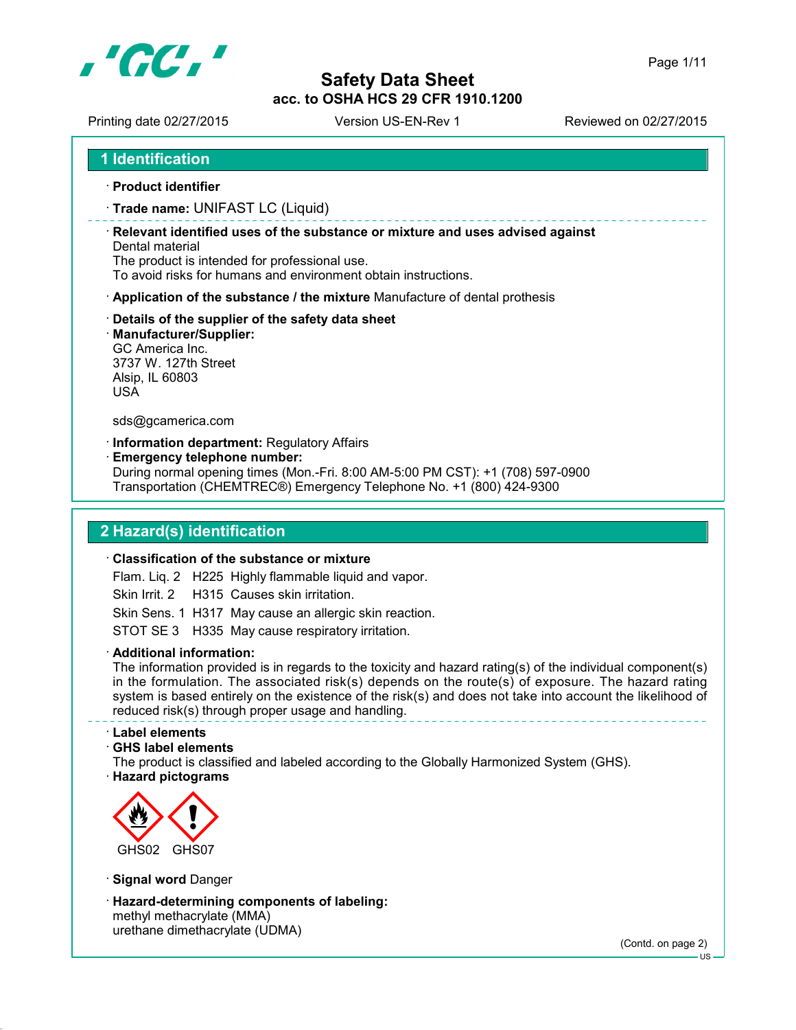

Printing date 02/27/2015 Version US-EN-Rev 1 Reviewed on 02/27/2015

**1 Identification**

**Product identifier**

**Trade name:** UNIFAST LC (Liquid)

 **Relevant identified uses of the substance or mixture and uses advised against** Dental material

The product is intended for professional use.

To avoid risks for humans and environment obtain instructions.

- **Application of the substance / the mixture** Manufacture of dental prothesis
- **Details of the supplier of the safety data sheet**
- **Manufacturer/Supplier:**

GC America Inc. 3737 W. 127th Street Alsip, IL 60803 USA

sds@gcamerica.com

**Information department:** Regulatory Affairs

**Emergency telephone number:**

During normal opening times (Mon.-Fri. 8:00 AM-5:00 PM CST): +1 (708) 597-0900 Transportation (CHEMTREC®) Emergency Telephone No. +1 (800) 424-9300

### **2 Hazard(s) identification**

#### **Classification of the substance or mixture**

Flam. Liq. 2 H225 Highly flammable liquid and vapor.

Skin Irrit. 2 H315 Causes skin irritation.

Skin Sens. 1 H317 May cause an allergic skin reaction.

STOT SE 3 H335 May cause respiratory irritation.

**Additional information:**

The information provided is in regards to the toxicity and hazard rating(s) of the individual component(s) in the formulation. The associated risk(s) depends on the route(s) of exposure. The hazard rating system is based entirely on the existence of the risk(s) and does not take into account the likelihood of reduced risk(s) through proper usage and handling. 

#### **Label elements**

#### **GHS label elements**

The product is classified and labeled according to the Globally Harmonized System (GHS). **Hazard pictograms**



**Signal word** Danger

 **Hazard-determining components of labeling:** methyl methacrylate (MMA) urethane dimethacrylate (UDMA)

 $-11S$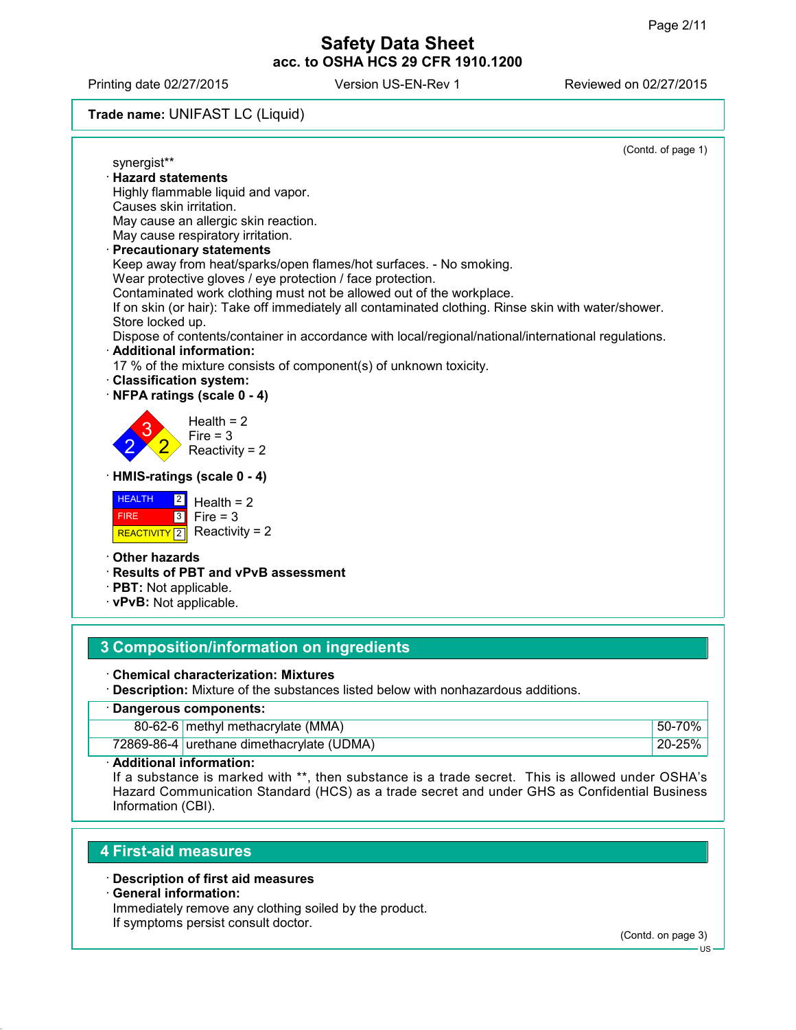Printing date 02/27/2015 Version US-EN-Rev 1 Reviewed on 02/27/2015

# **Trade name:** UNIFAST LC (Liquid)

|                                                                                                     | (Contd. of page 1) |
|-----------------------------------------------------------------------------------------------------|--------------------|
| synergist**                                                                                         |                    |
| · Hazard statements                                                                                 |                    |
| Highly flammable liquid and vapor.<br>Causes skin irritation.                                       |                    |
| May cause an allergic skin reaction.                                                                |                    |
| May cause respiratory irritation.                                                                   |                    |
| <b>Precautionary statements</b>                                                                     |                    |
| Keep away from heat/sparks/open flames/hot surfaces. - No smoking.                                  |                    |
| Wear protective gloves / eye protection / face protection.                                          |                    |
| Contaminated work clothing must not be allowed out of the workplace.                                |                    |
| If on skin (or hair): Take off immediately all contaminated clothing. Rinse skin with water/shower. |                    |
| Store locked up.                                                                                    |                    |
| Dispose of contents/container in accordance with local/regional/national/international regulations. |                    |
| · Additional information:                                                                           |                    |
| 17 % of the mixture consists of component(s) of unknown toxicity.                                   |                    |
| <b>Classification system:</b>                                                                       |                    |
| NFPA ratings (scale 0 - 4)                                                                          |                    |
| Health $= 2$                                                                                        |                    |
| Fire $=$ 3                                                                                          |                    |
| Reactivity = $2$                                                                                    |                    |
|                                                                                                     |                    |
| HMIS-ratings (scale 0 - 4)                                                                          |                    |
| <b>HEALTH</b><br>$\boxed{2}$<br>Health = $2$                                                        |                    |
| $\overline{3}$<br>Fire $=$ 3<br><b>FIRE</b>                                                         |                    |
| Reactivity = $2$<br><b>REACTIVITY</b> 2                                                             |                    |
| <b>Other hazards</b>                                                                                |                    |
| · Results of PBT and vPvB assessment                                                                |                    |
| $\cdot$ PBT: Not applicable.                                                                        |                    |

**vPvB:** Not applicable.

# **3 Composition/information on ingredients**

- **Chemical characterization: Mixtures**
- **Description:** Mixture of the substances listed below with nonhazardous additions.

| · Dangerous components: |                                           |              |  |
|-------------------------|-------------------------------------------|--------------|--|
|                         | 80-62-6 methyl methacrylate (MMA)         | $150 - 70\%$ |  |
|                         | 72869-86-4 urethane dimethacrylate (UDMA) | 20-25%       |  |

**Additional information:**

If a substance is marked with \*\*, then substance is a trade secret. This is allowed under OSHA's Hazard Communication Standard (HCS) as a trade secret and under GHS as Confidential Business Information (CBI).

# **4 First-aid measures**

#### **Description of first aid measures**

#### **General information:**

Immediately remove any clothing soiled by the product.

If symptoms persist consult doctor.

(Contd. on page 3)

US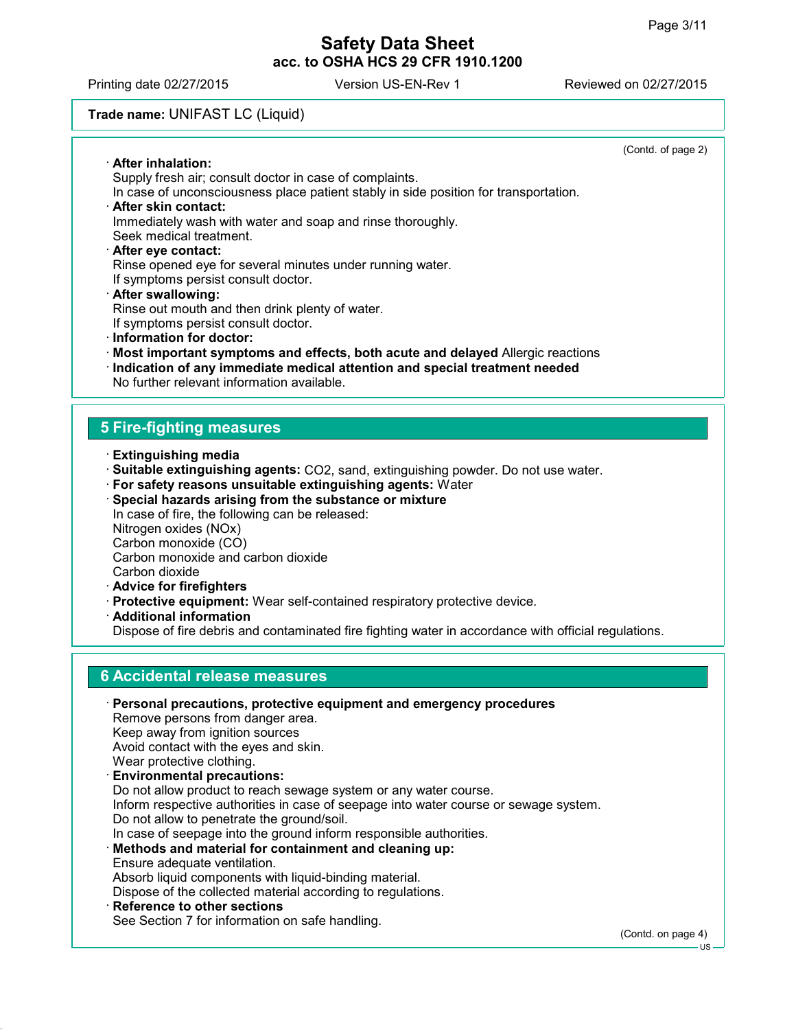Printing date 02/27/2015 Version US-EN-Rev 1 Reviewed on 02/27/2015

# **Trade name:** UNIFAST LC (Liquid)

|                                                                                                                                    | (Contd. of page 2) |
|------------------------------------------------------------------------------------------------------------------------------------|--------------------|
| · After inhalation:                                                                                                                |                    |
| Supply fresh air; consult doctor in case of complaints.                                                                            |                    |
| In case of unconsciousness place patient stably in side position for transportation.                                               |                    |
| · After skin contact:                                                                                                              |                    |
| Immediately wash with water and soap and rinse thoroughly.                                                                         |                    |
| Seek medical treatment.                                                                                                            |                    |
| After eye contact:                                                                                                                 |                    |
| Rinse opened eye for several minutes under running water.                                                                          |                    |
| If symptoms persist consult doctor.                                                                                                |                    |
| · After swallowing:                                                                                                                |                    |
| Rinse out mouth and then drink plenty of water.                                                                                    |                    |
| If symptoms persist consult doctor.<br>· Information for doctor:                                                                   |                    |
|                                                                                                                                    |                    |
| $\cdot$ Most important symptoms and effects, both acute and delayed Allergic reactions                                             |                    |
| Indication of any immediate medical attention and special treatment needed<br>No further relevant information available.           |                    |
|                                                                                                                                    |                    |
|                                                                                                                                    |                    |
| <b>5 Fire-fighting measures</b>                                                                                                    |                    |
|                                                                                                                                    |                    |
| $\cdot$ Extinguishing media                                                                                                        |                    |
| Suitable extinguishing agents: CO2, sand, extinguishing powder. Do not use water.                                                  |                    |
| · For safety reasons unsuitable extinguishing agents: Water                                                                        |                    |
| · Special hazards arising from the substance or mixture                                                                            |                    |
| In case of fire, the following can be released:                                                                                    |                    |
| Nitrogen oxides (NOx)                                                                                                              |                    |
| Carbon monoxide (CO)<br>Carbon monoxide and carbon dioxide                                                                         |                    |
| Carbon dioxide                                                                                                                     |                    |
| · Advice for firefighters                                                                                                          |                    |
| Protective equipment: Wear self-contained respiratory protective device.                                                           |                    |
| · Additional information                                                                                                           |                    |
| Dispose of fire debris and contaminated fire fighting water in accordance with official regulations.                               |                    |
|                                                                                                                                    |                    |
|                                                                                                                                    |                    |
| <b>6 Accidental release measures</b>                                                                                               |                    |
|                                                                                                                                    |                    |
| · Personal precautions, protective equipment and emergency procedures                                                              |                    |
| Remove persons from danger area.                                                                                                   |                    |
| Keep away from ignition sources                                                                                                    |                    |
| Avoid contact with the eyes and skin.                                                                                              |                    |
| Wear protective clothing.                                                                                                          |                    |
| <b>Environmental precautions:</b>                                                                                                  |                    |
| Do not allow product to reach sewage system or any water course.                                                                   |                    |
| Inform respective authorities in case of seepage into water course or sewage system.<br>Do not allow to penetrate the ground/soil. |                    |
| In case of seepage into the ground inform responsible authorities.                                                                 |                    |
| · Methods and material for containment and cleaning up:                                                                            |                    |
| Ensure adequate ventilation.                                                                                                       |                    |
| Absorb liquid components with liquid-binding material.                                                                             |                    |
| Dispose of the collected material according to regulations.                                                                        |                    |
| · Reference to other sections                                                                                                      |                    |
| See Section 7 for information on safe handling.                                                                                    |                    |

(Contd. on page 4)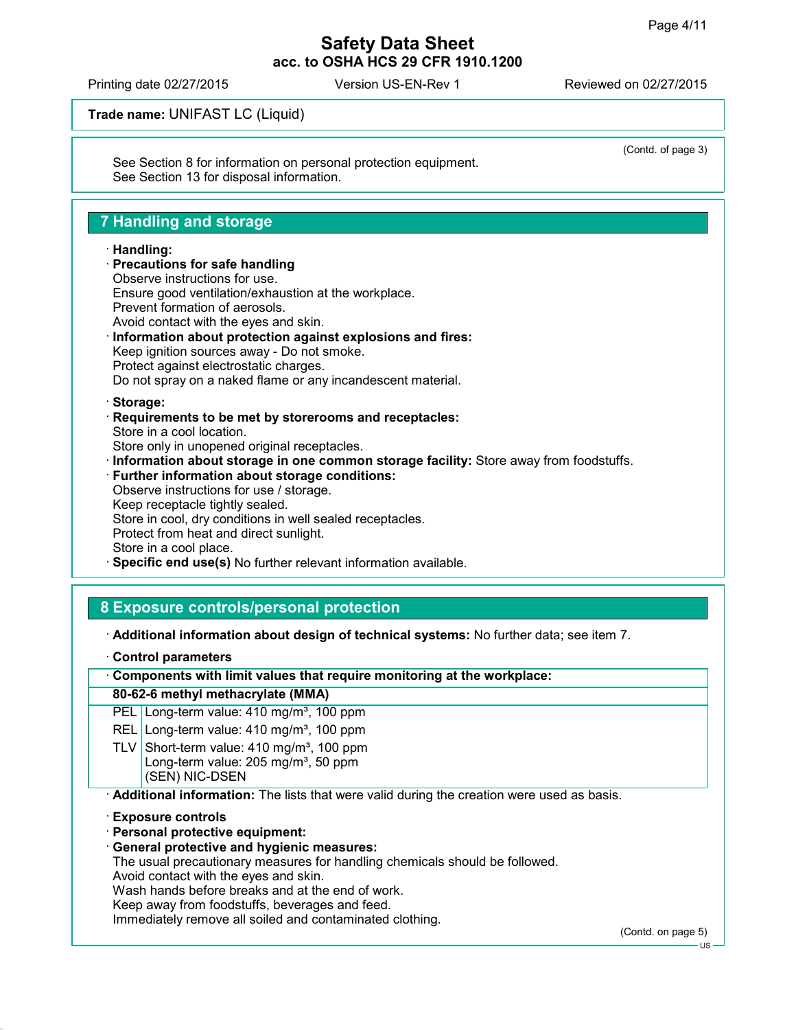(Contd. of page 3)

# **Safety Data Sheet acc. to OSHA HCS 29 CFR 1910.1200**

Printing date 02/27/2015 Version US-EN-Rev 1 Reviewed on 02/27/2015

**Trade name:** UNIFAST LC (Liquid)

See Section 8 for information on personal protection equipment. See Section 13 for disposal information.

# **7 Handling and storage**

#### **Handling:**

# **Precautions for safe handling** Observe instructions for use.

Ensure good ventilation/exhaustion at the workplace. Prevent formation of aerosols.

Avoid contact with the eyes and skin.

### **Information about protection against explosions and fires:**

Keep ignition sources away - Do not smoke. Protect against electrostatic charges.

Do not spray on a naked flame or any incandescent material.

#### **Storage:**

 **Requirements to be met by storerooms and receptacles:** Store in a cool location.

Store only in unopened original receptacles.

- **Information about storage in one common storage facility:** Store away from foodstuffs.
- **Further information about storage conditions:** Observe instructions for use / storage. Keep receptacle tightly sealed. Store in cool, dry conditions in well sealed receptacles. Protect from heat and direct sunlight. Store in a cool place.

# **Specific end use(s)** No further relevant information available.

### **8 Exposure controls/personal protection**

**Additional information about design of technical systems:** No further data; see item 7.

**Control parameters**

**Components with limit values that require monitoring at the workplace:**

#### **80-62-6 methyl methacrylate (MMA)**

PEL Long-term value: 410 mg/m<sup>3</sup>, 100 ppm

REL Long-term value: 410 mg/m<sup>3</sup>, 100 ppm

TLV Short-term value:  $410 \text{ mg/m}^3$ , 100 ppm Long-term value:  $205 \text{ mg/m}^3$ , 50 ppm (SEN) NIC-DSEN

**Additional information:** The lists that were valid during the creation were used as basis.

**Exposure controls**

- **Personal protective equipment:**
- **General protective and hygienic measures:**

The usual precautionary measures for handling chemicals should be followed.

Avoid contact with the eyes and skin.

Wash hands before breaks and at the end of work.

Keep away from foodstuffs, beverages and feed.

Immediately remove all soiled and contaminated clothing.

(Contd. on page 5)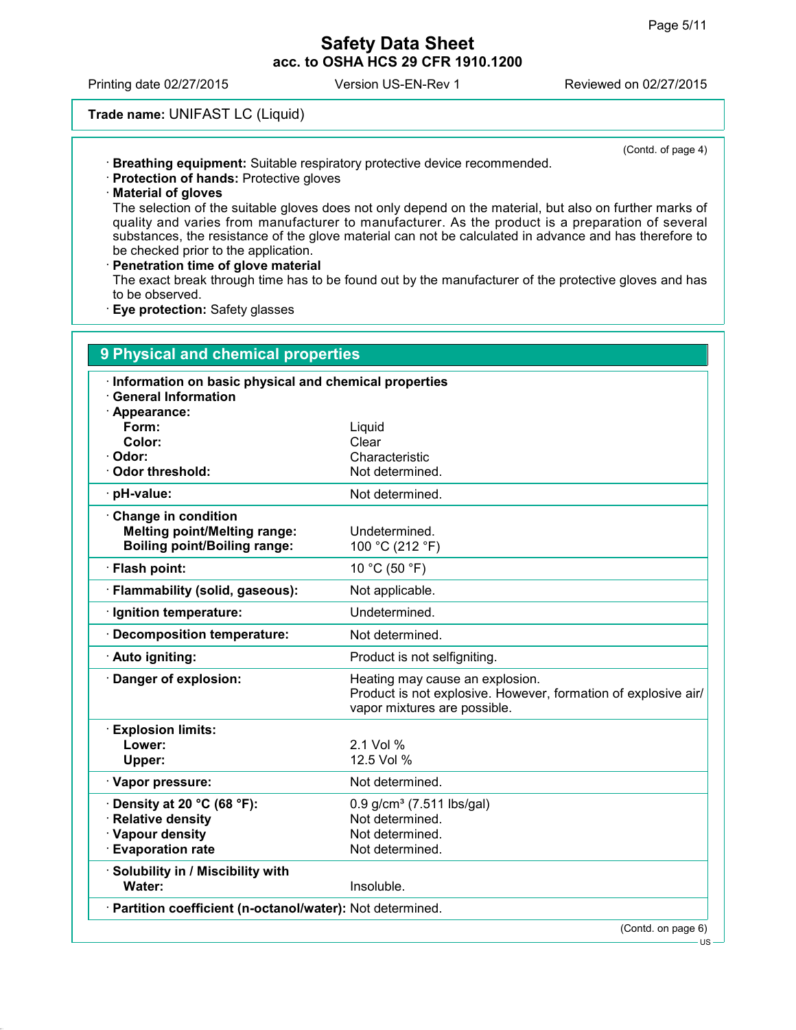(Contd. of page 4)

### **Safety Data Sheet acc. to OSHA HCS 29 CFR 1910.1200**

Printing date 02/27/2015 Version US-EN-Rev 1 Reviewed on 02/27/2015

### **Trade name:** UNIFAST LC (Liquid)

- **Breathing equipment:** Suitable respiratory protective device recommended.
- **Protection of hands:** Protective gloves
- **Material of gloves**

The selection of the suitable gloves does not only depend on the material, but also on further marks of quality and varies from manufacturer to manufacturer. As the product is a preparation of several substances, the resistance of the glove material can not be calculated in advance and has therefore to be checked prior to the application.

**Penetration time of glove material**

The exact break through time has to be found out by the manufacturer of the protective gloves and has to be observed.

**Eye protection:** Safety glasses

| Information on basic physical and chemical properties |                                                                                                                                   |
|-------------------------------------------------------|-----------------------------------------------------------------------------------------------------------------------------------|
| <b>General Information</b><br>· Appearance:           |                                                                                                                                   |
| Form:                                                 | Liquid                                                                                                                            |
| Color:                                                | Clear                                                                                                                             |
| Odor:                                                 | Characteristic                                                                                                                    |
| <b>Odor threshold:</b>                                | Not determined.                                                                                                                   |
| pH-value:                                             | Not determined.                                                                                                                   |
| Change in condition                                   |                                                                                                                                   |
| <b>Melting point/Melting range:</b>                   | Undetermined.                                                                                                                     |
| <b>Boiling point/Boiling range:</b>                   | 100 °C (212 °F)                                                                                                                   |
| · Flash point:                                        | 10 °C (50 °F)                                                                                                                     |
| Flammability (solid, gaseous):                        | Not applicable.                                                                                                                   |
| Ignition temperature:                                 | Undetermined.                                                                                                                     |
| <b>Decomposition temperature:</b>                     | Not determined.                                                                                                                   |
| · Auto igniting:                                      | Product is not selfigniting.                                                                                                      |
| Danger of explosion:                                  | Heating may cause an explosion.<br>Product is not explosive. However, formation of explosive air/<br>vapor mixtures are possible. |
| <b>Explosion limits:</b>                              |                                                                                                                                   |
| Lower:                                                | 2.1 Vol %                                                                                                                         |
| Upper:                                                | 12.5 Vol %                                                                                                                        |
| · Vapor pressure:                                     | Not determined.                                                                                                                   |
| Density at 20 °C (68 °F):                             | $0.9$ g/cm <sup>3</sup> (7.511 lbs/gal)                                                                                           |
| <b>Relative density</b>                               | Not determined.                                                                                                                   |
| · Vapour density                                      | Not determined.                                                                                                                   |
| <b>Evaporation rate</b>                               | Not determined.                                                                                                                   |
| · Solubility in / Miscibility with<br>Water:          | Insoluble.                                                                                                                        |

US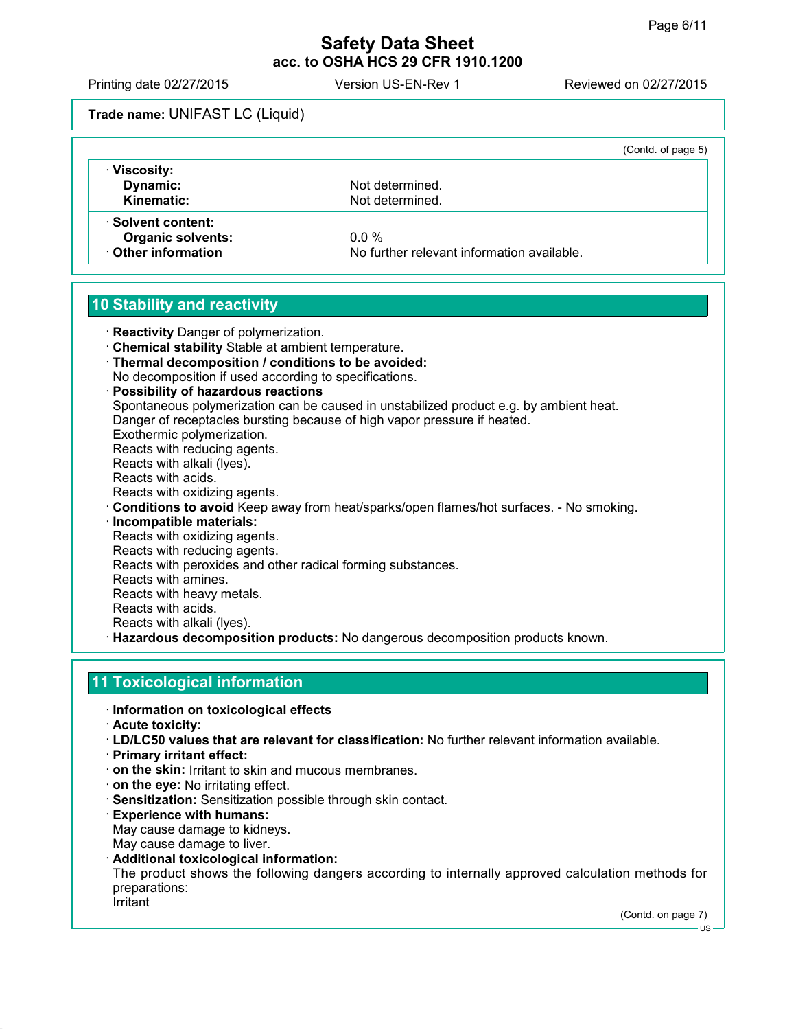Printing date 02/27/2015 Version US-EN-Rev 1 Reviewed on 02/27/2015

# **Trade name:** UNIFAST LC (Liquid)

|                          | (Contd. of page 5)                         |
|--------------------------|--------------------------------------------|
| · Viscosity:             |                                            |
| Dynamic:                 | Not determined.                            |
| Kinematic:               | Not determined.                            |
| ⋅ Solvent content:       |                                            |
| <b>Organic solvents:</b> | $0.0 \%$                                   |
| Other information        | No further relevant information available. |

# **10 Stability and reactivity**

**Reactivity** Danger of polymerization.

- **Chemical stability** Stable at ambient temperature.
- **Thermal decomposition / conditions to be avoided:**
- No decomposition if used according to specifications.

 **Possibility of hazardous reactions** Spontaneous polymerization can be caused in unstabilized product e.g. by ambient heat. Danger of receptacles bursting because of high vapor pressure if heated. Exothermic polymerization. Reacts with reducing agents. Reacts with alkali (lyes). Reacts with acids. Reacts with oxidizing agents. **Conditions to avoid** Keep away from heat/sparks/open flames/hot surfaces. - No smoking. **Incompatible materials:** Reacts with oxidizing agents. Reacts with reducing agents. Reacts with peroxides and other radical forming substances. Reacts with amines. Reacts with heavy metals. Reacts with acids.

Reacts with alkali (lyes).

**Hazardous decomposition products:** No dangerous decomposition products known.

# **11 Toxicological information**

- **Information on toxicological effects**
- **Acute toxicity:**
- **LD/LC50 values that are relevant for classification:** No further relevant information available.
- **Primary irritant effect:**
- **on the skin:** Irritant to skin and mucous membranes.
- **on the eye:** No irritating effect.
- **Sensitization:** Sensitization possible through skin contact.
- **Experience with humans:**

May cause damage to kidneys.

- May cause damage to liver.
- **Additional toxicological information:**

The product shows the following dangers according to internally approved calculation methods for preparations:

**Irritant** 

(Contd. on page 7)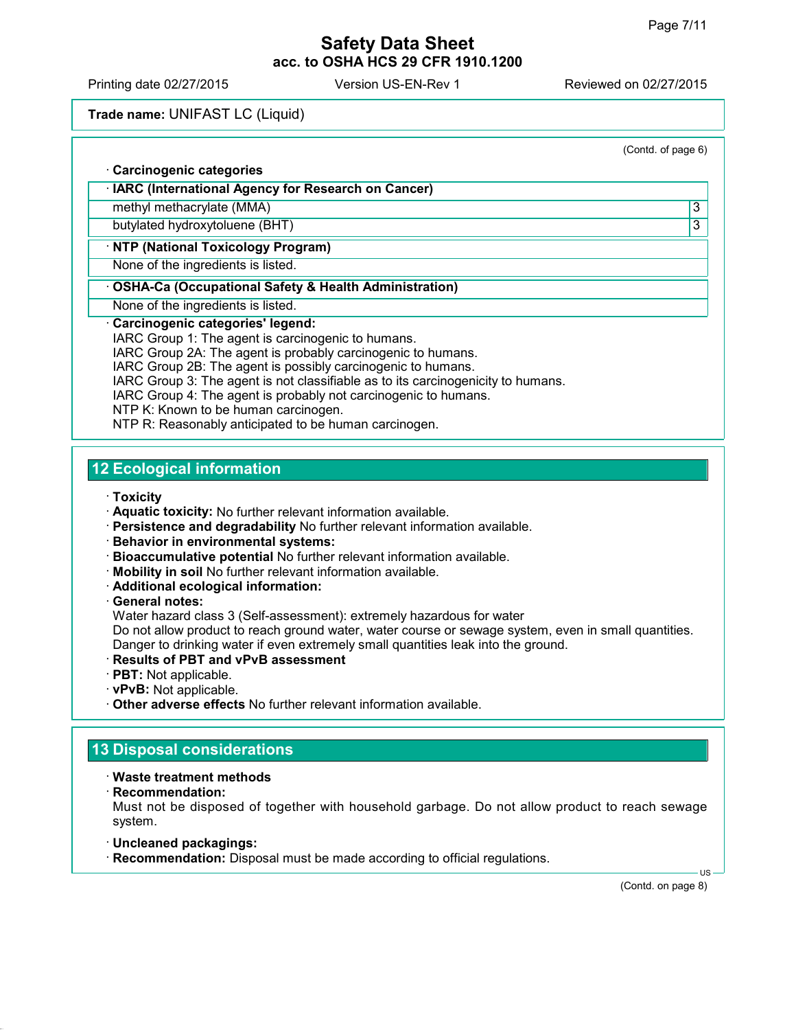Printing date 02/27/2015 Version US-EN-Rev 1 Reviewed on 02/27/2015

#### **Trade name:** UNIFAST LC (Liquid)

(Contd. of page 6) **Carcinogenic categories IARC (International Agency for Research on Cancer)** methyl methacrylate (MMA) 33 butylated hydroxytoluene (BHT) 3

# **NTP (National Toxicology Program)**

None of the ingredients is listed.

#### **OSHA-Ca (Occupational Safety & Health Administration)**

None of the ingredients is listed.

#### **Carcinogenic categories' legend:**

IARC Group 1: The agent is carcinogenic to humans.

IARC Group 2A: The agent is probably carcinogenic to humans.

IARC Group 2B: The agent is possibly carcinogenic to humans.

IARC Group 3: The agent is not classifiable as to its carcinogenicity to humans.

IARC Group 4: The agent is probably not carcinogenic to humans.

NTP K: Known to be human carcinogen.

NTP R: Reasonably anticipated to be human carcinogen.

# **12 Ecological information**

**Toxicity**

- **Aquatic toxicity:** No further relevant information available.
- **Persistence and degradability** No further relevant information available.
- **Behavior in environmental systems:**
- **Bioaccumulative potential** No further relevant information available.
- **Mobility in soil** No further relevant information available.
- **Additional ecological information:**

**General notes:**

Water hazard class 3 (Self-assessment): extremely hazardous for water Do not allow product to reach ground water, water course or sewage system, even in small quantities. Danger to drinking water if even extremely small quantities leak into the ground.

- **Results of PBT and vPvB assessment**
- **PBT:** Not applicable.
- **vPvB:** Not applicable.
- **Other adverse effects** No further relevant information available.

### **13 Disposal considerations**

- **Waste treatment methods**
- **Recommendation:**

Must not be disposed of together with household garbage. Do not allow product to reach sewage system.

- **Uncleaned packagings:**
- **Recommendation:** Disposal must be made according to official regulations.

(Contd. on page 8)

US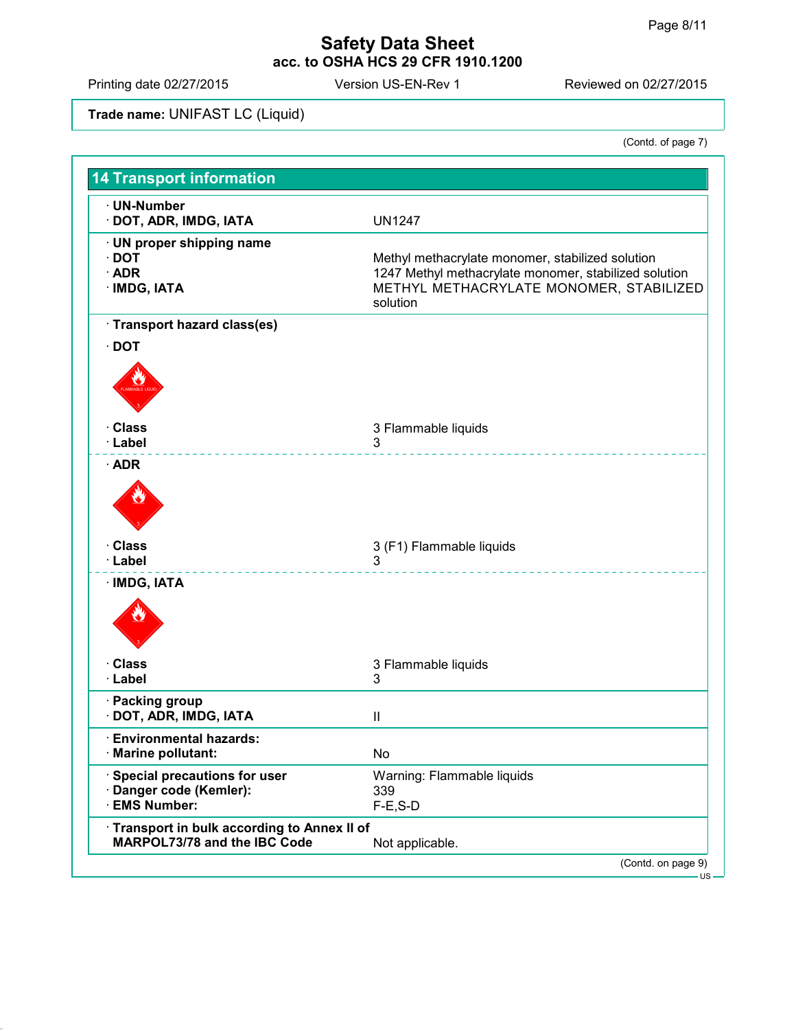Printing date 02/27/2015 Version US-EN-Rev 1 Reviewed on 02/27/2015

**Trade name:** UNIFAST LC (Liquid)

| <b>14 Transport information</b>                                            |                                                                                                                                                                  |
|----------------------------------------------------------------------------|------------------------------------------------------------------------------------------------------------------------------------------------------------------|
| · UN-Number<br>· DOT, ADR, IMDG, IATA                                      | <b>UN1247</b>                                                                                                                                                    |
| · UN proper shipping name<br>$\cdot$ DOT<br>$\cdot$ ADR<br>· IMDG, IATA    | Methyl methacrylate monomer, stabilized solution<br>1247 Methyl methacrylate monomer, stabilized solution<br>METHYL METHACRYLATE MONOMER, STABILIZED<br>solution |
| · Transport hazard class(es)                                               |                                                                                                                                                                  |
| $\cdot$ DOT                                                                |                                                                                                                                                                  |
|                                                                            |                                                                                                                                                                  |
| · Class                                                                    | 3 Flammable liquids                                                                                                                                              |
| · Label<br>$\cdot$ ADR                                                     | 3                                                                                                                                                                |
|                                                                            |                                                                                                                                                                  |
| · Class                                                                    | 3 (F1) Flammable liquids<br>3                                                                                                                                    |
| · Label                                                                    |                                                                                                                                                                  |
| · IMDG, IATA                                                               |                                                                                                                                                                  |
| · Class                                                                    | 3 Flammable liquids                                                                                                                                              |
| · Label                                                                    | 3                                                                                                                                                                |
| · Packing group<br>· DOT, ADR, IMDG, IATA                                  | $\mathbf{I}$                                                                                                                                                     |
| <b>Environmental hazards:</b><br><b>Marine pollutant:</b>                  | No                                                                                                                                                               |
| · Special precautions for user<br>· Danger code (Kemler):<br>· EMS Number: | Warning: Flammable liquids<br>339<br>$F-E$ , S-D                                                                                                                 |
| Transport in bulk according to Annex II of<br>MARPOL73/78 and the IBC Code | Not applicable.                                                                                                                                                  |
|                                                                            | (Contd. on page 9)                                                                                                                                               |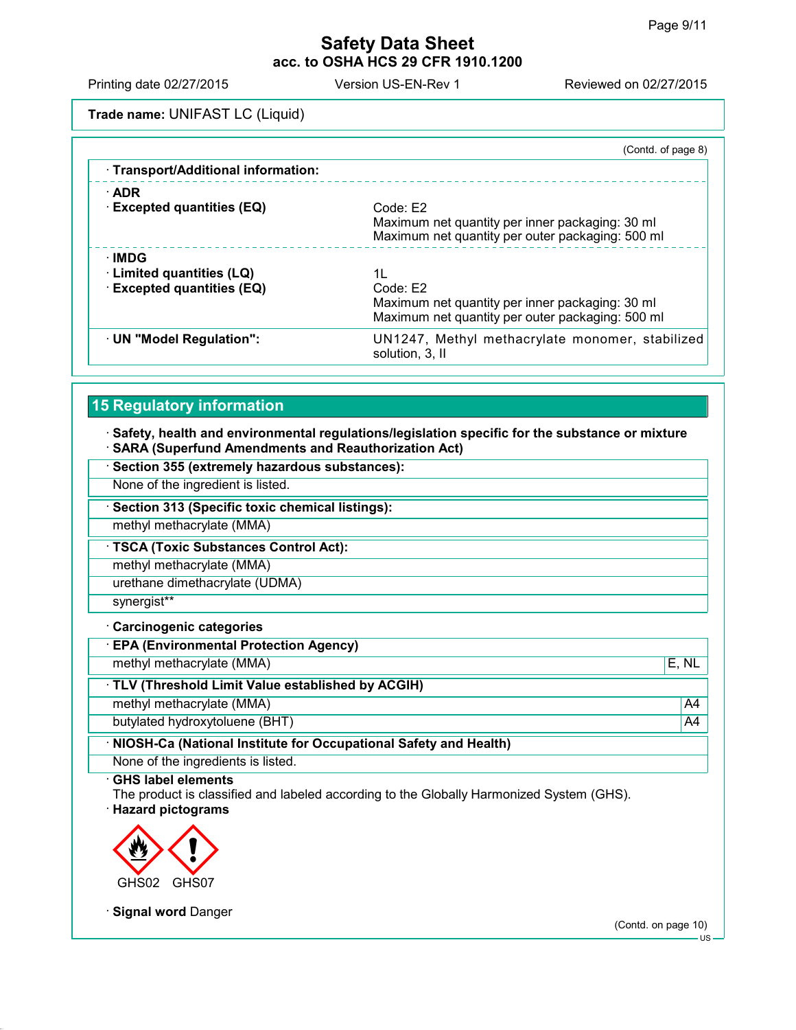Printing date 02/27/2015 Version US-EN-Rev 1 Reviewed on 02/27/2015

**Trade name:** UNIFAST LC (Liquid)

|                                     | (Contd. of page 8)                                                 |
|-------------------------------------|--------------------------------------------------------------------|
| · Transport/Additional information: |                                                                    |
| $\cdot$ ADR                         |                                                                    |
| <b>Excepted quantities (EQ)</b>     | Code: E2                                                           |
|                                     | Maximum net quantity per inner packaging: 30 ml                    |
|                                     | Maximum net quantity per outer packaging: 500 ml                   |
| $\cdot$ IMDG                        |                                                                    |
| Limited quantities (LQ)             | 1L                                                                 |
| <b>Excepted quantities (EQ)</b>     | Code: E2                                                           |
|                                     | Maximum net quantity per inner packaging: 30 ml                    |
|                                     | Maximum net quantity per outer packaging: 500 ml                   |
| · UN "Model Regulation":            | UN1247, Methyl methacrylate monomer, stabilized<br>solution, 3, II |
|                                     |                                                                    |

# **15 Regulatory information**

#### **Safety, health and environmental regulations/legislation specific for the substance or mixture SARA (Superfund Amendments and Reauthorization Act)**

**Section 355 (extremely hazardous substances):**

None of the ingredient is listed.

**Section 313 (Specific toxic chemical listings):**

methyl methacrylate (MMA)

**TSCA (Toxic Substances Control Act):**

methyl methacrylate (MMA)

urethane dimethacrylate (UDMA)

synergist\*\*

#### **Carcinogenic categories**

**EPA (Environmental Protection Agency)**

methyl methacrylate (MMA)  $\vert$  E, NL

**TLV (Threshold Limit Value established by ACGIH)**

methyl methacrylate (MMA) and the contract of the contract of the contract of the contract of the contract of the contract of the contract of the contract of the contract of the contract of the contract of the contract of

butylated hydroxytoluene (BHT) and the control of the control of the control of the control of the control of the control of the control of the control of the control of the control of the control of the control of the con

**NIOSH-Ca (National Institute for Occupational Safety and Health)**

None of the ingredients is listed.

**GHS label elements**

The product is classified and labeled according to the Globally Harmonized System (GHS).





**Signal word** Danger

(Contd. on page 10)

US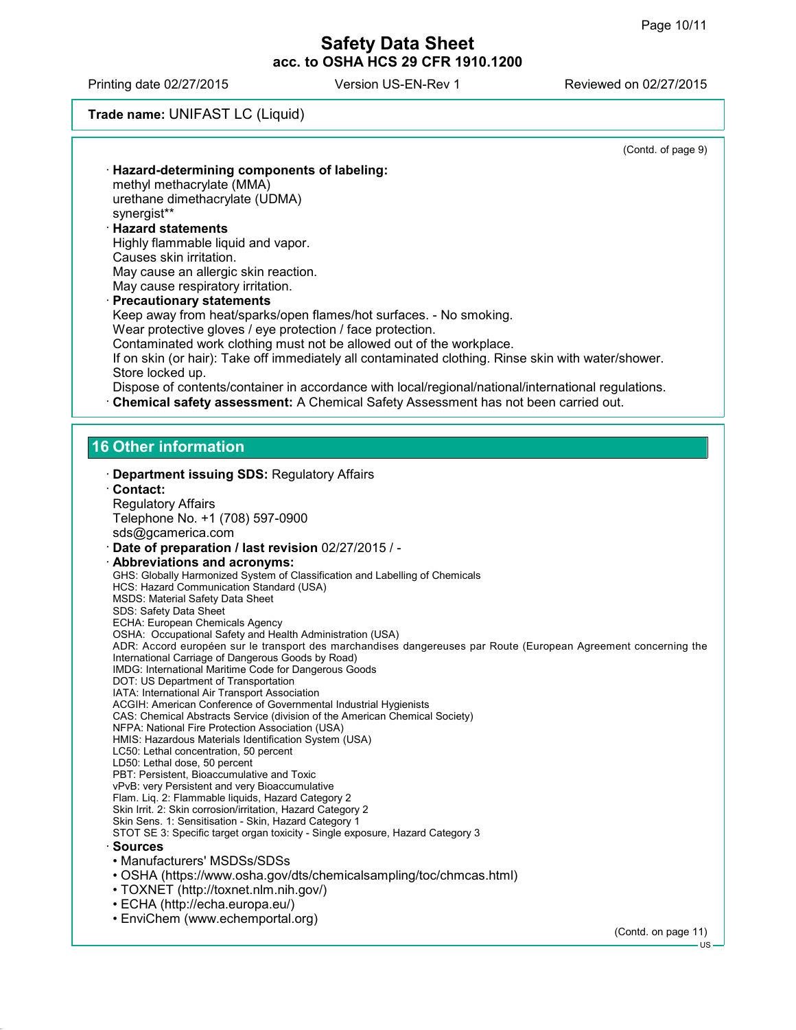Printing date 02/27/2015 Version US-EN-Rev 1 Reviewed on 02/27/2015

# **Trade name:** UNIFAST LC (Liquid)

|                                                                                                                                                                              | (Contd. of page 9)  |
|------------------------------------------------------------------------------------------------------------------------------------------------------------------------------|---------------------|
| Hazard-determining components of labeling:                                                                                                                                   |                     |
| methyl methacrylate (MMA)                                                                                                                                                    |                     |
| urethane dimethacrylate (UDMA)<br>synergist**                                                                                                                                |                     |
| <b>Hazard statements</b>                                                                                                                                                     |                     |
| Highly flammable liquid and vapor.                                                                                                                                           |                     |
| Causes skin irritation.                                                                                                                                                      |                     |
| May cause an allergic skin reaction.<br>May cause respiratory irritation.                                                                                                    |                     |
| · Precautionary statements                                                                                                                                                   |                     |
| Keep away from heat/sparks/open flames/hot surfaces. - No smoking.                                                                                                           |                     |
| Wear protective gloves / eye protection / face protection.                                                                                                                   |                     |
| Contaminated work clothing must not be allowed out of the workplace.<br>If on skin (or hair): Take off immediately all contaminated clothing. Rinse skin with water/shower.  |                     |
| Store locked up.                                                                                                                                                             |                     |
| Dispose of contents/container in accordance with local/regional/national/international regulations.                                                                          |                     |
| Chemical safety assessment: A Chemical Safety Assessment has not been carried out.                                                                                           |                     |
|                                                                                                                                                                              |                     |
|                                                                                                                                                                              |                     |
| 16 Other information                                                                                                                                                         |                     |
| Department issuing SDS: Regulatory Affairs                                                                                                                                   |                     |
| Contact:                                                                                                                                                                     |                     |
| <b>Regulatory Affairs</b>                                                                                                                                                    |                     |
| Telephone No. +1 (708) 597-0900<br>sds@gcamerica.com                                                                                                                         |                     |
| Date of preparation / last revision 02/27/2015 / -                                                                                                                           |                     |
| · Abbreviations and acronyms:                                                                                                                                                |                     |
| GHS: Globally Harmonized System of Classification and Labelling of Chemicals                                                                                                 |                     |
| HCS: Hazard Communication Standard (USA)<br><b>MSDS: Material Safety Data Sheet</b>                                                                                          |                     |
| SDS: Safety Data Sheet                                                                                                                                                       |                     |
| ECHA: European Chemicals Agency                                                                                                                                              |                     |
| OSHA: Occupational Safety and Health Administration (USA)<br>ADR: Accord européen sur le transport des marchandises dangereuses par Route (European Agreement concerning the |                     |
| International Carriage of Dangerous Goods by Road)                                                                                                                           |                     |
| IMDG: International Maritime Code for Dangerous Goods<br>DOT: US Department of Transportation                                                                                |                     |
| IATA: International Air Transport Association                                                                                                                                |                     |
| ACGIH: American Conference of Governmental Industrial Hygienists<br>CAS: Chemical Abstracts Service (division of the American Chemical Society)                              |                     |
| NFPA: National Fire Protection Association (USA)                                                                                                                             |                     |
| HMIS: Hazardous Materials Identification System (USA)                                                                                                                        |                     |
| LC50: Lethal concentration, 50 percent<br>LD50: Lethal dose, 50 percent                                                                                                      |                     |
| PBT: Persistent, Bioaccumulative and Toxic                                                                                                                                   |                     |
| vPvB: very Persistent and very Bioaccumulative<br>Flam. Liq. 2: Flammable liquids, Hazard Category 2                                                                         |                     |
| Skin Irrit. 2: Skin corrosion/irritation, Hazard Category 2                                                                                                                  |                     |
| Skin Sens. 1: Sensitisation - Skin, Hazard Category 1<br>STOT SE 3: Specific target organ toxicity - Single exposure, Hazard Category 3                                      |                     |
| · Sources                                                                                                                                                                    |                     |
| • Manufacturers' MSDSs/SDSs                                                                                                                                                  |                     |
| • OSHA (https://www.osha.gov/dts/chemicalsampling/toc/chmcas.html)                                                                                                           |                     |
| • TOXNET (http://toxnet.nlm.nih.gov/)                                                                                                                                        |                     |
| • ECHA (http://echa.europa.eu/)                                                                                                                                              |                     |
| • EnviChem (www.echemportal.org)                                                                                                                                             |                     |
|                                                                                                                                                                              | (Contd. on page 11) |